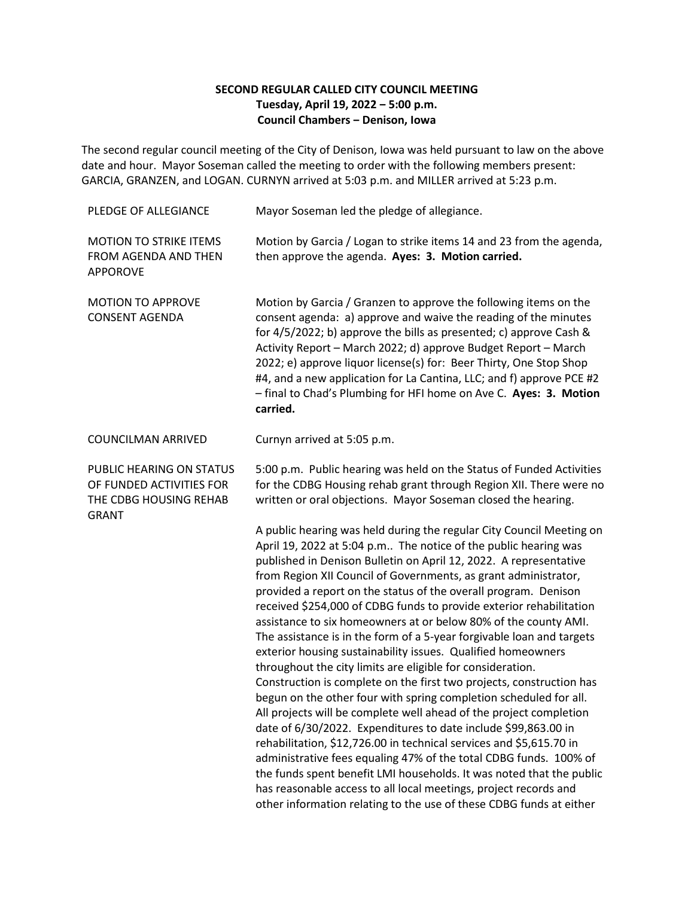## **SECOND REGULAR CALLED CITY COUNCIL MEETING Tuesday, April 19, 2022 ‒ 5:00 p.m. Council Chambers ‒ Denison, Iowa**

The second regular council meeting of the City of Denison, Iowa was held pursuant to law on the above date and hour. Mayor Soseman called the meeting to order with the following members present: GARCIA, GRANZEN, and LOGAN. CURNYN arrived at 5:03 p.m. and MILLER arrived at 5:23 p.m.

| PLEDGE OF ALLEGIANCE                                                                           | Mayor Soseman led the pledge of allegiance.                                                                                                                                                                                                                                                                                                                                                                                                                                                                                                                                                                                                                                                                                                                                                                                                                                                                                                                                                                                                                                                                                                                                                                                                                                                                                                             |
|------------------------------------------------------------------------------------------------|---------------------------------------------------------------------------------------------------------------------------------------------------------------------------------------------------------------------------------------------------------------------------------------------------------------------------------------------------------------------------------------------------------------------------------------------------------------------------------------------------------------------------------------------------------------------------------------------------------------------------------------------------------------------------------------------------------------------------------------------------------------------------------------------------------------------------------------------------------------------------------------------------------------------------------------------------------------------------------------------------------------------------------------------------------------------------------------------------------------------------------------------------------------------------------------------------------------------------------------------------------------------------------------------------------------------------------------------------------|
| <b>MOTION TO STRIKE ITEMS</b><br>FROM AGENDA AND THEN<br><b>APPOROVE</b>                       | Motion by Garcia / Logan to strike items 14 and 23 from the agenda,<br>then approve the agenda. Ayes: 3. Motion carried.                                                                                                                                                                                                                                                                                                                                                                                                                                                                                                                                                                                                                                                                                                                                                                                                                                                                                                                                                                                                                                                                                                                                                                                                                                |
| <b>MOTION TO APPROVE</b><br><b>CONSENT AGENDA</b>                                              | Motion by Garcia / Granzen to approve the following items on the<br>consent agenda: a) approve and waive the reading of the minutes<br>for 4/5/2022; b) approve the bills as presented; c) approve Cash &<br>Activity Report - March 2022; d) approve Budget Report - March<br>2022; e) approve liquor license(s) for: Beer Thirty, One Stop Shop<br>#4, and a new application for La Cantina, LLC; and f) approve PCE #2<br>- final to Chad's Plumbing for HFI home on Ave C. Ayes: 3. Motion<br>carried.                                                                                                                                                                                                                                                                                                                                                                                                                                                                                                                                                                                                                                                                                                                                                                                                                                              |
| <b>COUNCILMAN ARRIVED</b>                                                                      | Curnyn arrived at 5:05 p.m.                                                                                                                                                                                                                                                                                                                                                                                                                                                                                                                                                                                                                                                                                                                                                                                                                                                                                                                                                                                                                                                                                                                                                                                                                                                                                                                             |
| PUBLIC HEARING ON STATUS<br>OF FUNDED ACTIVITIES FOR<br>THE CDBG HOUSING REHAB<br><b>GRANT</b> | 5:00 p.m. Public hearing was held on the Status of Funded Activities<br>for the CDBG Housing rehab grant through Region XII. There were no<br>written or oral objections. Mayor Soseman closed the hearing.                                                                                                                                                                                                                                                                                                                                                                                                                                                                                                                                                                                                                                                                                                                                                                                                                                                                                                                                                                                                                                                                                                                                             |
|                                                                                                | A public hearing was held during the regular City Council Meeting on<br>April 19, 2022 at 5:04 p.m The notice of the public hearing was<br>published in Denison Bulletin on April 12, 2022. A representative<br>from Region XII Council of Governments, as grant administrator,<br>provided a report on the status of the overall program. Denison<br>received \$254,000 of CDBG funds to provide exterior rehabilitation<br>assistance to six homeowners at or below 80% of the county AMI.<br>The assistance is in the form of a 5-year forgivable loan and targets<br>exterior housing sustainability issues. Qualified homeowners<br>throughout the city limits are eligible for consideration.<br>Construction is complete on the first two projects, construction has<br>begun on the other four with spring completion scheduled for all.<br>All projects will be complete well ahead of the project completion<br>date of 6/30/2022. Expenditures to date include \$99,863.00 in<br>rehabilitation, \$12,726.00 in technical services and \$5,615.70 in<br>administrative fees equaling 47% of the total CDBG funds. 100% of<br>the funds spent benefit LMI households. It was noted that the public<br>has reasonable access to all local meetings, project records and<br>other information relating to the use of these CDBG funds at either |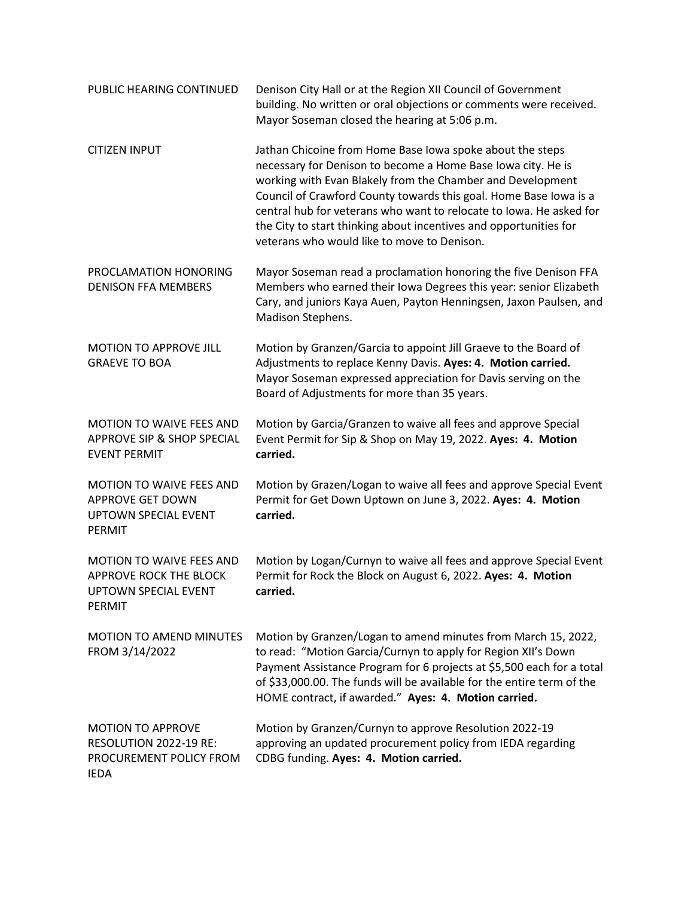| PUBLIC HEARING CONTINUED                                                                     | Denison City Hall or at the Region XII Council of Government<br>building. No written or oral objections or comments were received.<br>Mayor Soseman closed the hearing at 5:06 p.m.                                                                                                                                                                                                                                                                     |
|----------------------------------------------------------------------------------------------|---------------------------------------------------------------------------------------------------------------------------------------------------------------------------------------------------------------------------------------------------------------------------------------------------------------------------------------------------------------------------------------------------------------------------------------------------------|
| <b>CITIZEN INPUT</b>                                                                         | Jathan Chicoine from Home Base Iowa spoke about the steps<br>necessary for Denison to become a Home Base Iowa city. He is<br>working with Evan Blakely from the Chamber and Development<br>Council of Crawford County towards this goal. Home Base Iowa is a<br>central hub for veterans who want to relocate to Iowa. He asked for<br>the City to start thinking about incentives and opportunities for<br>veterans who would like to move to Denison. |
| PROCLAMATION HONORING<br><b>DENISON FFA MEMBERS</b>                                          | Mayor Soseman read a proclamation honoring the five Denison FFA<br>Members who earned their Iowa Degrees this year: senior Elizabeth<br>Cary, and juniors Kaya Auen, Payton Henningsen, Jaxon Paulsen, and<br>Madison Stephens.                                                                                                                                                                                                                         |
| MOTION TO APPROVE JILL<br><b>GRAEVE TO BOA</b>                                               | Motion by Granzen/Garcia to appoint Jill Graeve to the Board of<br>Adjustments to replace Kenny Davis. Ayes: 4. Motion carried.<br>Mayor Soseman expressed appreciation for Davis serving on the<br>Board of Adjustments for more than 35 years.                                                                                                                                                                                                        |
| <b>MOTION TO WAIVE FEES AND</b><br>APPROVE SIP & SHOP SPECIAL<br><b>EVENT PERMIT</b>         | Motion by Garcia/Granzen to waive all fees and approve Special<br>Event Permit for Sip & Shop on May 19, 2022. Ayes: 4. Motion<br>carried.                                                                                                                                                                                                                                                                                                              |
| <b>MOTION TO WAIVE FEES AND</b><br><b>APPROVE GET DOWN</b><br>UPTOWN SPECIAL EVENT<br>PERMIT | Motion by Grazen/Logan to waive all fees and approve Special Event<br>Permit for Get Down Uptown on June 3, 2022. Ayes: 4. Motion<br>carried.                                                                                                                                                                                                                                                                                                           |
| MOTION TO WAIVE FEES AND<br>APPROVE ROCK THE BLOCK<br><b>UPTOWN SPECIAL EVENT</b><br>PERMIT  | Motion by Logan/Curnyn to waive all fees and approve Special Event<br>Permit for Rock the Block on August 6, 2022. Ayes: 4. Motion<br>carried.                                                                                                                                                                                                                                                                                                          |
| <b>MOTION TO AMEND MINUTES</b><br>FROM 3/14/2022                                             | Motion by Granzen/Logan to amend minutes from March 15, 2022,<br>to read: "Motion Garcia/Curnyn to apply for Region XII's Down<br>Payment Assistance Program for 6 projects at \$5,500 each for a total<br>of \$33,000.00. The funds will be available for the entire term of the<br>HOME contract, if awarded." Ayes: 4. Motion carried.                                                                                                               |
| <b>MOTION TO APPROVE</b><br>RESOLUTION 2022-19 RE:<br>PROCUREMENT POLICY FROM<br><b>IEDA</b> | Motion by Granzen/Curnyn to approve Resolution 2022-19<br>approving an updated procurement policy from IEDA regarding<br>CDBG funding. Ayes: 4. Motion carried.                                                                                                                                                                                                                                                                                         |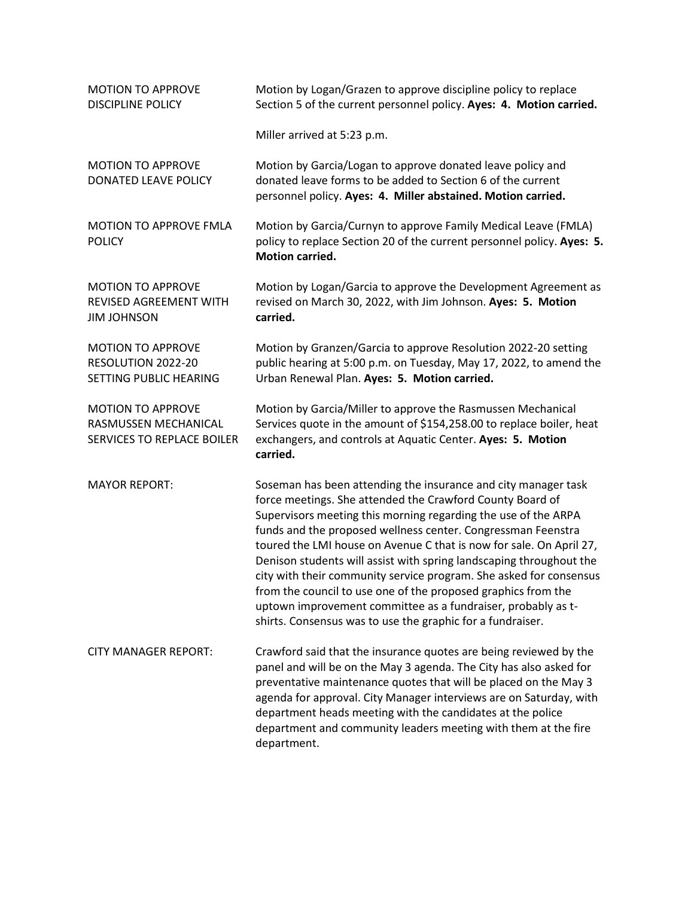| <b>MOTION TO APPROVE</b><br><b>DISCIPLINE POLICY</b>                           | Motion by Logan/Grazen to approve discipline policy to replace<br>Section 5 of the current personnel policy. Ayes: 4. Motion carried.                                                                                                                                                                                                                                                                                                                                                                                                                                                                                                                                            |
|--------------------------------------------------------------------------------|----------------------------------------------------------------------------------------------------------------------------------------------------------------------------------------------------------------------------------------------------------------------------------------------------------------------------------------------------------------------------------------------------------------------------------------------------------------------------------------------------------------------------------------------------------------------------------------------------------------------------------------------------------------------------------|
|                                                                                | Miller arrived at 5:23 p.m.                                                                                                                                                                                                                                                                                                                                                                                                                                                                                                                                                                                                                                                      |
| <b>MOTION TO APPROVE</b><br>DONATED LEAVE POLICY                               | Motion by Garcia/Logan to approve donated leave policy and<br>donated leave forms to be added to Section 6 of the current<br>personnel policy. Ayes: 4. Miller abstained. Motion carried.                                                                                                                                                                                                                                                                                                                                                                                                                                                                                        |
| <b>MOTION TO APPROVE FMLA</b><br><b>POLICY</b>                                 | Motion by Garcia/Curnyn to approve Family Medical Leave (FMLA)<br>policy to replace Section 20 of the current personnel policy. Ayes: 5.<br><b>Motion carried.</b>                                                                                                                                                                                                                                                                                                                                                                                                                                                                                                               |
| <b>MOTION TO APPROVE</b><br>REVISED AGREEMENT WITH<br><b>JIM JOHNSON</b>       | Motion by Logan/Garcia to approve the Development Agreement as<br>revised on March 30, 2022, with Jim Johnson. Ayes: 5. Motion<br>carried.                                                                                                                                                                                                                                                                                                                                                                                                                                                                                                                                       |
| <b>MOTION TO APPROVE</b><br>RESOLUTION 2022-20<br>SETTING PUBLIC HEARING       | Motion by Granzen/Garcia to approve Resolution 2022-20 setting<br>public hearing at 5:00 p.m. on Tuesday, May 17, 2022, to amend the<br>Urban Renewal Plan. Ayes: 5. Motion carried.                                                                                                                                                                                                                                                                                                                                                                                                                                                                                             |
| <b>MOTION TO APPROVE</b><br>RASMUSSEN MECHANICAL<br>SERVICES TO REPLACE BOILER | Motion by Garcia/Miller to approve the Rasmussen Mechanical<br>Services quote in the amount of \$154,258.00 to replace boiler, heat<br>exchangers, and controls at Aquatic Center. Ayes: 5. Motion<br>carried.                                                                                                                                                                                                                                                                                                                                                                                                                                                                   |
| <b>MAYOR REPORT:</b>                                                           | Soseman has been attending the insurance and city manager task<br>force meetings. She attended the Crawford County Board of<br>Supervisors meeting this morning regarding the use of the ARPA<br>funds and the proposed wellness center. Congressman Feenstra<br>toured the LMI house on Avenue C that is now for sale. On April 27,<br>Denison students will assist with spring landscaping throughout the<br>city with their community service program. She asked for consensus<br>from the council to use one of the proposed graphics from the<br>uptown improvement committee as a fundraiser, probably as t-<br>shirts. Consensus was to use the graphic for a fundraiser. |
| <b>CITY MANAGER REPORT:</b>                                                    | Crawford said that the insurance quotes are being reviewed by the<br>panel and will be on the May 3 agenda. The City has also asked for<br>preventative maintenance quotes that will be placed on the May 3<br>agenda for approval. City Manager interviews are on Saturday, with<br>department heads meeting with the candidates at the police<br>department and community leaders meeting with them at the fire<br>department.                                                                                                                                                                                                                                                 |